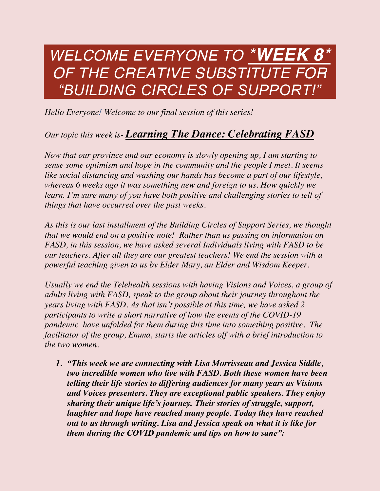# *WELCOME EVERYONE TO \*WEEK 8\* OF THE CREATIVE SUBSTITUTE FOR "BUILDING CIRCLES OF SUPPORT!"*

*Hello Everyone! Welcome to our final session of this series!*

## *Our topic this week is- Learning The Dance: Celebrating FASD*

*Now that our province and our economy is slowly opening up, I am starting to sense some optimism and hope in the community and the people I meet. It seems like social distancing and washing our hands has become a part of our lifestyle, whereas 6 weeks ago it was something new and foreign to us. How quickly we learn. I'm sure many of you have both positive and challenging stories to tell of things that have occurred over the past weeks.*

*As this is our last installment of the Building Circles of Support Series, we thought that we would end on a positive note! Rather than us passing on information on FASD, in this session, we have asked several Individuals living with FASD to be our teachers. After all they are our greatest teachers! We end the session with a powerful teaching given to us by Elder Mary, an Elder and Wisdom Keeper.*

*Usually we end the Telehealth sessions with having Visions and Voices, a group of adults living with FASD, speak to the group about their journey throughout the years living with FASD. As that isn't possible at this time, we have asked 2 participants to write a short narrative of how the events of the COVID-19 pandemic have unfolded for them during this time into something positive. The facilitator of the group, Emma, starts the articles off with a brief introduction to the two women.* 

*1. "This week we are connecting with Lisa Morrisseau and Jessica Siddle, two incredible women who live with FASD. Both these women have been telling their life stories to differing audiences for many years as Visions and Voices presenters. They are exceptional public speakers. They enjoy sharing their unique life's journey. Their stories of struggle, support, laughter and hope have reached many people. Today they have reached out to us through writing. Lisa and Jessica speak on what it is like for them during the COVID pandemic and tips on how to sane":*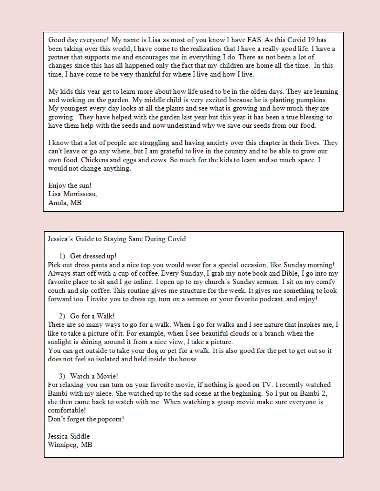Good day everyone! My name is Lisa as most of you know I have FAS. As this Covid 19 has been taking over this world. I have come to the realization that I have a really good life. I have a partner that supports me and encourages me in everything I do. There as not been a lot of changes since this has all happened only the fact that my children are home all the time. In this time, I have come to be very thankful for where I live and how I live.

My kids this year get to learn more about how life used to be in the olden days. They are learning and working on the garden. My middle child is very excited because he is planting pumpkins. My youngest every day looks at all the plants and see what is growing and how much they are growing. They have helped with the garden last year but this year it has been a true blessing to have them help with the seeds and now understand why we save our seeds from our food.

I know that a lot of people are struggling and having anxiety over this chapter in their lives. They can't leave or go any where, but I am grateful to live in the country and to be able to grow our own food. Chickens and eggs and cows. So much for the kids to learn and so much space. I would not change anything.

Enjoy the sun! Lisa Morrisseau, Anola, MB

### Jessica's Guide to Staying Sane During Covid

### 1) Get dressed up!

Pick out dress pants and a nice top you would wear for a special occasion, like Sunday morning! Always start off with a cup of coffee. Every Sunday, I grab my note book and Bible, I go into my favorite place to sit and I go online. I open up to my church's Sunday sermon. I sit on my comfy couch and sip coffee. This routine gives me structure for the week. It gives me something to look forward too. I invite you to dress up, turn on a sermon or your favorite podcast, and enjoy!

### 2) Go for a Walk!

There are so many ways to go for a walk. When I go for walks and I see nature that inspires me, I like to take a picture of it. For example, when I see beautiful clouds or a branch when the sunlight is shining around it from a nice view, I take a picture.

You can get outside to take your dog or pet for a walk. It is also good for the pet to get out so it does not feel so isolated and held inside the house.

### 3) Watch a Movie!

For relaxing you can turn on your favorite movie, if nothing is good on TV. I recently watched Bambi with my niece. She watched up to the sad scene at the beginning. So I put on Bambi 2, she then came back to watch with me. When watching a group movie make sure everyone is comfortable!

Don't forget the popcom!

Jessica Siddle Winnipeg, MB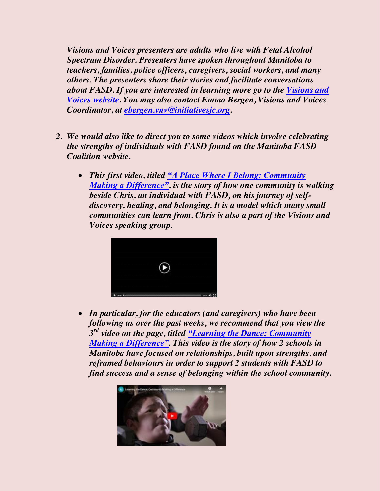*Visions and Voices presenters are adults who live with Fetal Alcohol Spectrum Disorder. Presenters have spoken throughout Manitoba to teachers, families, police officers, caregivers, social workers, and many others. The presenters share their stories and facilitate conversations about FASD. If you are interested in learning more go to the [Visions and](https://www.initiativesjc.org/wpblog/touchstone/)  [Voices website.](https://www.initiativesjc.org/wpblog/touchstone/) You may also contact Emma Bergen, Visions and Voices Coordinator, at [ebergen.vnv@initiativesjc.org.](mailto:ebergen.vnv@initiativesjc.org)*

- *2. We would also like to direct you to some videos which involve celebrating the strengths of individuals with FASD found on the Manitoba FASD Coalition website.* 
	- x *This first video, titled ["A Place Where I Belong: Community](https://www.fasdcoalition.ca/looking-after-each-other-project/mini-documentaries/)  [Making a Difference"](https://www.fasdcoalition.ca/looking-after-each-other-project/mini-documentaries/), is the story of how one community is walking beside Chris, an individual with FASD, on his journey of selfdiscovery, healing, and belonging. It is a model which many small communities can learn from. Chris is also a part of the Visions and Voices speaking group.*



x *In particular, for the educators (and caregivers) who have been following us over the past weeks, we recommend that you view the 3rd video on the page, titled ["Learning the Dance: Community](https://www.fasdcoalition.ca/looking-after-each-other-project/mini-documentaries/)  [Making a Difference"](https://www.fasdcoalition.ca/looking-after-each-other-project/mini-documentaries/). This video is the story of how 2 schools in Manitoba have focused on relationships, built upon strengths, and reframed behaviours in order to support 2 students with FASD to find success and a sense of belonging within the school community.*

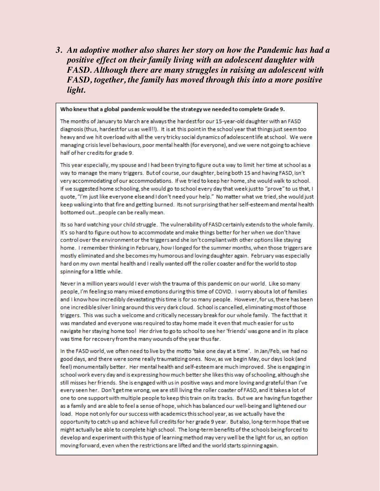3. An adoptive mother also shares her story on how the Pandemic has had a positive effect on their family living with an adolescent daughter with FASD. Although there are many struggles in raising an adolescent with FASD, together, the family has moved through this into a more positive light.

#### Who knew that a global pandemic would be the strategy we needed to complete Grade 9.

The months of January to March are always the hardest for our 15-year-old daughter with an FASD diagnosis (thus, hardest for us as well!!). It is at this point in the school year that things just seem too heavy and we hit overload with all the very tricky social dynamics of adolescent life at school. We were managing crisis level behaviours, poor mental health (for everyone), and we were not going to achieve half of her credits for grade 9.

This year especially, my spouse and I had been trying to figure out a way to limit her time at school as a way to manage the many triggers. But of course, our daughter, being both 15 and having FASD, isn't very accommodating of our accommodations. If we tried to keep her home, she would walk to school. If we suggested home schooling, she would go to school every day that week just to "prove" to us that, I quote, "I'm just like everyone else and I don't need your help." No matter what we tried, she would just keep walking into that fire and getting burned. Its not surprising that her self-esteem and mental health bottomed out...people can be really mean.

Its so hard watching your child struggle. The vulnerability of FASD certainly extends to the whole family. It's so hard to figure out how to accommodate and make things better for her when we don't have control over the environment or the triggers and she isn't compliant with other options like staying home. I remember thinking in February, how I longed for the summer months, when those triggers are mostly eliminated and she becomes my humorous and loving daughter again. February was especially hard on my own mental health and I really wanted off the roller coaster and for the world to stop spinning for a little while.

Never in a million years would I ever wish the trauma of this pandemic on our world. Like so many people, I'm feeling so many mixed emotions during this time of COVID. I worry about a lot of families and I know how incredibly devastating this time is for so many people. However, for us, there has been one incredible silver lining around this very dark cloud. School is cancelled, eliminating most of those triggers. This was such a welcome and critically necessary break for our whole family. The fact that it was mandated and everyone was required to stay home made it even that much easier for us to navigate her staying home too! Her drive to go to school to see her 'friends' was gone and in its place was time for recovery from the many wounds of the year thus far.

In the FASD world, we often need to live by the motto 'take one day at a time'. In Jan/Feb, we had no good days, and there were some really traumatizing ones. Now, as we begin May, our days look (and feel) monumentally better. Her mental health and self-esteem are much improved. She is engaging in school work every day and is expressing how much better she likes this way of schooling, although she still misses her friends. She is engaged with us in positive ways and more loving and grateful than I've every seen her. Don't get me wrong, we are still living the roller coaster of FASD, and it takes a lot of one to one support with multiple people to keep this train on its tracks. But we are having fun together as a family and are able to feel a sense of hope, which has balanced our well-being and lightened our load. Hope not only for our success with academics this school year, as we actually have the opportunity to catch up and achieve full credits for her grade 9 year. But also, long-term hope that we might actually be able to complete high school. The long-term benefits of the schools being forced to develop and experiment with this type of learning method may very well be the light for us, an option moving forward, even when the restrictions are lifted and the world starts spinning again.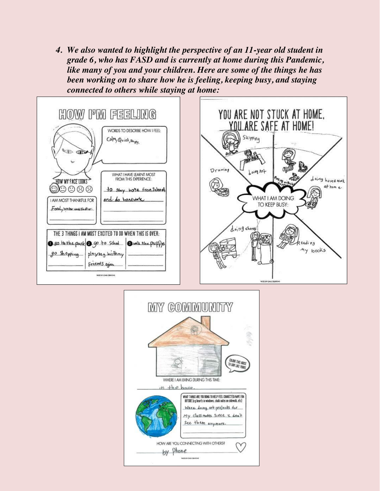*4. We also wanted to highlight the perspective of an 11-year old student in grade 6, who has FASD and is currently at home during this Pandemic, like many of you and your children. Here are some of the things he has been working on to share how he is feeling, keeping busy, and staying connected to others while staying at home:*



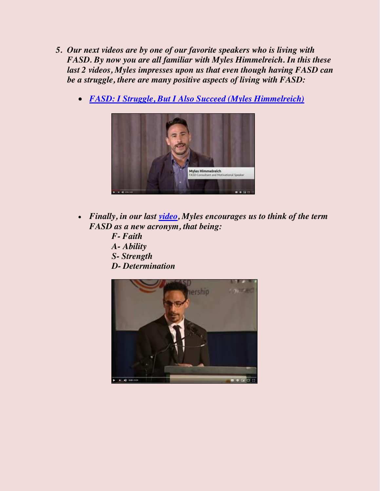- *5. Our next videos are by one of our favorite speakers who is living with FASD. By now you are all familiar with Myles Himmelreich. In this these last 2 videos, Myles impresses upon us that even though having FASD can be a struggle, there are many positive aspects of living with FASD:*
	- x *[FASD: I Struggle, But I Also Succeed \(Myles Himmelreich\)](https://www.youtube.com/watch?v=Dg0YXdLWu4k)*



- x *Finally, in our last [video,](https://www.youtube.com/watch?v=5fm3Ptp9ZMA) Myles encourages us to think of the term FASD as a new acronym, that being:* 
	- *F- Faith A- Ability*
	-
	- *S- Strength*
	- *D- Determination*

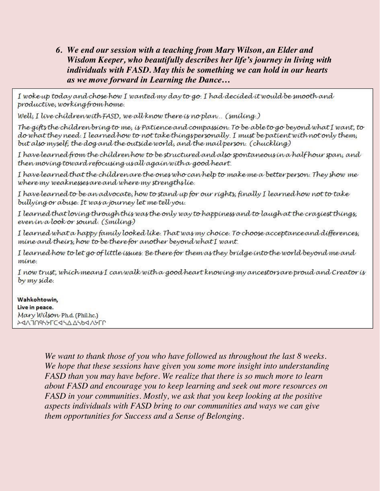6. We end our session with a teaching from Mary Wilson, an Elder and Wisdom Keeper, who beautifully describes her life's journey in living with individuals with FASD. May this be something we can hold in our hearts as we move forward in Learning the Dance...

I woke up today and chose how I wanted my day to go. I had decided it would be smooth and productive, working from home.

Well, I live children with FASD, we all know there is no plan... (smiling.)

The gifts the children bring to me, is Patience and compassion. To be able to go beyond what I want, to do what they need. I learned how to not take thingspersonally. I must be patient with not only them, but also myself, the dog and the outside world, and the mail person. (chuckling)

I have learned from the children how to be structured and also spontaneous in a half hour span, and then moving toward refocusing usall again with a good heart.

I have learned that the children are the ones who can help to make me a better person. They show me where my weaknesses are and where my strengthslie.

I have learned to be an advocate, how to stand up for our rights, finally I learned how not to take bullying or abuse. It was a journey let me tell you.

I learned that loving through this was the only way to happiness and to laugh at the craziest things, even in a look or sound. (Smiling)

I learned what a happy family looked like. That was my choice. To choose acceptance and differences, mine and theirs, how to be therefor another beyond what I want.

I learned how to let go of little issues. Be there for them as they bridge into the world beyond me and mine.

I now trust, which means I canwalk with a good heart knowing my ancestors are proud and Creator is by my side.

Wahkohtowin. Live in peace. Mary Wilson Ph.d. (Phil.hc.) **ΑΑΛΠΛΑΥΑΓΟΑΥΣΤΗΜΑΚΑ** 

> We want to thank those of you who have followed us throughout the last 8 weeks. We hope that these sessions have given you some more insight into understanding FASD than you may have before. We realize that there is so much more to learn about FASD and encourage you to keep learning and seek out more resources on FASD in your communities. Mostly, we ask that you keep looking at the positive aspects individuals with FASD bring to our communities and ways we can give them opportunities for Success and a Sense of Belonging.